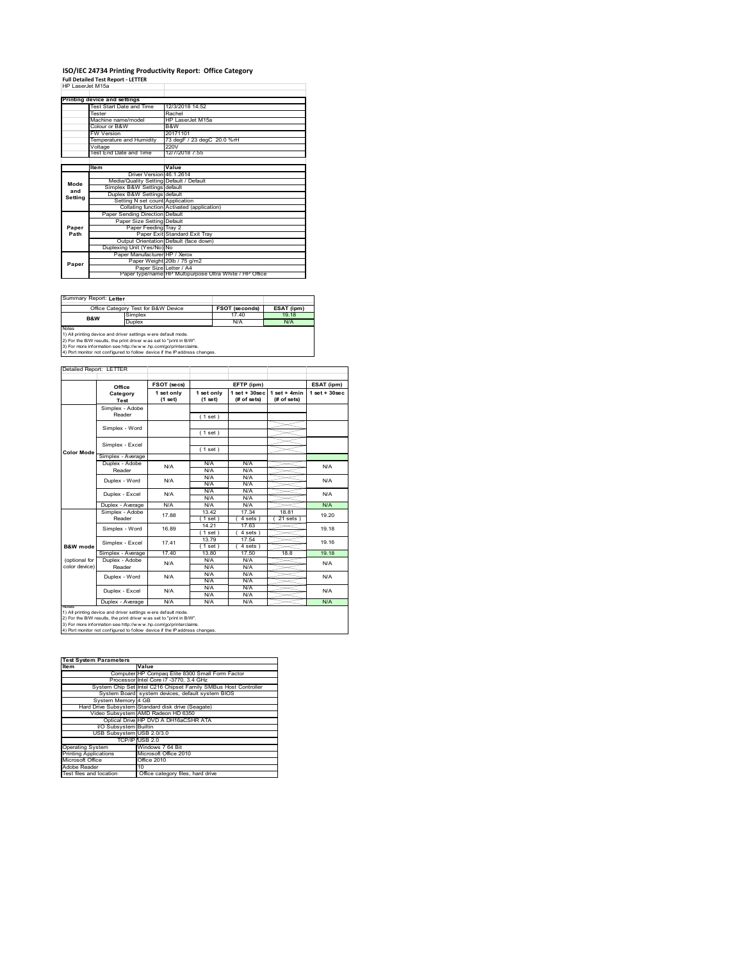# **ISO/IEC 24734 Printing Productivity Report: Office Category Full Detailed Test Report ‐ LETTER** HP LaserJet M15a

| HP Laser let M15a |                                         |                                                         |
|-------------------|-----------------------------------------|---------------------------------------------------------|
|                   | Printing device and settings            |                                                         |
|                   | Test Start Date and Time                | 12/3/2018 14:52                                         |
|                   | Tester                                  | Rachel                                                  |
|                   | Machine name/model                      | HP LaserJet M15a                                        |
|                   | Colour or B&W                           | B&W                                                     |
|                   | <b>FW Version</b>                       | 20171101                                                |
|                   | Temperature and Humidity                | 73 degF / 23 degC 20.0 %rH                              |
|                   | Voltage                                 | 220V                                                    |
|                   | Test End Date and Time                  | 12/7/2018 7:55                                          |
|                   |                                         |                                                         |
|                   | Item                                    | Value                                                   |
|                   | Driver Version 46.1.2614                |                                                         |
| Mode              | Media/Quality Setting Default / Default |                                                         |
| and               | Simplex B&W Settings default            |                                                         |
| Setting           | Duplex B&W Settings default             |                                                         |
|                   | Setting N set count Application         |                                                         |
|                   |                                         | Collating function Activated (application)              |
|                   | Paper Sending Direction Default         |                                                         |
|                   | Paper Size Setting Default              |                                                         |
| Paper             | Paper Feeding Tray 2                    |                                                         |
| Path              |                                         | Paper Exit Standard Exit Tray                           |
|                   |                                         | Output Orientation Default (face down)                  |
|                   | Duplexing Unit (Yes/No) No              |                                                         |
|                   | Paper Manufacturer HP / Xerox           |                                                         |
| Paper             |                                         | Paper Weight 20lb / 75 g/m2                             |
|                   | Paper Size Letter / A4                  | Paper type/name HP Multipurpose Ultra White / HP Office |
|                   |                                         |                                                         |

Summary Report: **Letter**

|                                                                | Office Category Test for B&W Device | <b>FSOT (seconds)</b> | ESAT (ipm) |  |  |  |
|----------------------------------------------------------------|-------------------------------------|-----------------------|------------|--|--|--|
| <b>B&amp;W</b>                                                 | Simplex                             | 1740                  | 19 18      |  |  |  |
|                                                                | Duplex                              | N/A                   | N/A        |  |  |  |
| Notes                                                          |                                     |                       |            |  |  |  |
| 1) All printing device and driver settings w ere default mode. |                                     |                       |            |  |  |  |
|                                                                |                                     |                       |            |  |  |  |

1) All printing device and driver settings were default mode.<br>2) For the B/W results, the print driver was set to "print in B/W".<br>3) For more information see http://www.hp.com/go/printerclaims.<br>4) Port monitor not configur

|               | Office                    | FSOT (secs)           |                       | EFTP (ipm)                       |                               | ESAT (ipm)              |  |
|---------------|---------------------------|-----------------------|-----------------------|----------------------------------|-------------------------------|-------------------------|--|
|               | Category<br>Test          | 1 set only<br>(1 set) | 1 set only<br>(1 set) | $1$ set $+30$ sec<br>(# of sets) | $1$ set + 4min<br>(# of sets) | $1$ set $+30$ sec       |  |
|               | Simplex - Adobe           |                       |                       |                                  |                               |                         |  |
|               | Reader                    |                       | (1 set)               |                                  |                               |                         |  |
|               | Simplex - Word            |                       |                       |                                  |                               |                         |  |
|               |                           |                       | (1 set)               |                                  |                               |                         |  |
|               | Simplex - Excel           |                       |                       |                                  |                               |                         |  |
| Color Mode    |                           |                       | (1 set)               |                                  |                               |                         |  |
|               | Simplex - Average         |                       |                       |                                  |                               |                         |  |
|               | Duplex - Adobe            | N/A                   | N/A                   | N/A                              |                               | N/A                     |  |
|               | Reader                    |                       | N/A                   | N/A                              |                               |                         |  |
|               | Duplex - Word             | N/A                   | N/A                   | N/A                              |                               | N/A<br>N/A              |  |
|               |                           |                       | N/A                   | N/A                              |                               |                         |  |
|               | Duplex - Excel            | N/A                   | N/A                   | N/A                              |                               |                         |  |
|               |                           |                       | N/A                   | N/A                              |                               |                         |  |
|               | Duplex - Average          | N/A                   | N/A                   | N/A                              |                               | N/A                     |  |
|               | Simplex - Adobe<br>Reader | 17.88                 | 13.42                 | 17.34                            | 18.81                         | 19.20<br>19.18<br>19.16 |  |
|               |                           |                       | 1 set )               | 4 sets                           | 21 sets                       |                         |  |
|               | Simplex - Word            | 16.89                 | 14.21                 | 17.63                            |                               |                         |  |
|               |                           |                       | $1$ set)              | $4 sets$ )                       |                               |                         |  |
|               | Simplex - Excel           | 1741                  | 13.79                 | 17.54                            |                               |                         |  |
| B&W mode      |                           |                       | $1$ set)              | 4 sets )                         |                               |                         |  |
|               | Simplex - Average         | 1740                  | 13.80                 | 17.50                            | 18.8                          | 19.18                   |  |
| (optional for | Duplex - Adobe            | N/A                   | N/A                   | N/A                              |                               | N/A                     |  |
| color device) | Reader                    |                       | N/A                   | N/A                              |                               |                         |  |
|               | Duplex - Word             | N/A                   | N/A                   | N/A                              |                               | N/A                     |  |
|               |                           |                       | N/A                   | N/A                              |                               |                         |  |
|               | Duplex - Excel            | N/A                   | N/A                   | N/A                              |                               | N/A                     |  |
|               |                           |                       | N/A                   | N/A                              |                               |                         |  |
|               | Duplex - Average          | N/A                   | N/A                   | N/A                              |                               | N/A                     |  |

| <b>Test System Parameters</b> |                                                                 |  |  |  |
|-------------------------------|-----------------------------------------------------------------|--|--|--|
| <b>Item</b>                   | Value                                                           |  |  |  |
|                               | Computer HP Compaq Elite 8300 Small Form Factor                 |  |  |  |
|                               | Processor Intel Core i7 -3770, 3.4 GHz                          |  |  |  |
|                               | System Chip Set Intel C216 Chipset Family SMBus Host Controller |  |  |  |
|                               | System Board system devices, default system BIOS                |  |  |  |
| System Memory 4 GB            |                                                                 |  |  |  |
|                               | Hard Drive Subsystem Standard disk drive (Seagate)              |  |  |  |
|                               | Video Subsystem AMD Radeon HD 6350                              |  |  |  |
|                               | Optical Drive HP DVD A DH16aCSHR ATA                            |  |  |  |
| I/O Subsystem Builtin         |                                                                 |  |  |  |
| USB Subsystem USB 2.0/3.0     |                                                                 |  |  |  |
|                               | TCP/IP USB 2.0                                                  |  |  |  |
| <b>Operating System</b>       | Windows 7 64 Bit                                                |  |  |  |
| <b>Printing Applications</b>  | Microsoft Office 2010                                           |  |  |  |
| Microsoft Office              | Office 2010                                                     |  |  |  |
| Adobe Reader                  | 10                                                              |  |  |  |
| Test files and location       | Office category files, hard drive                               |  |  |  |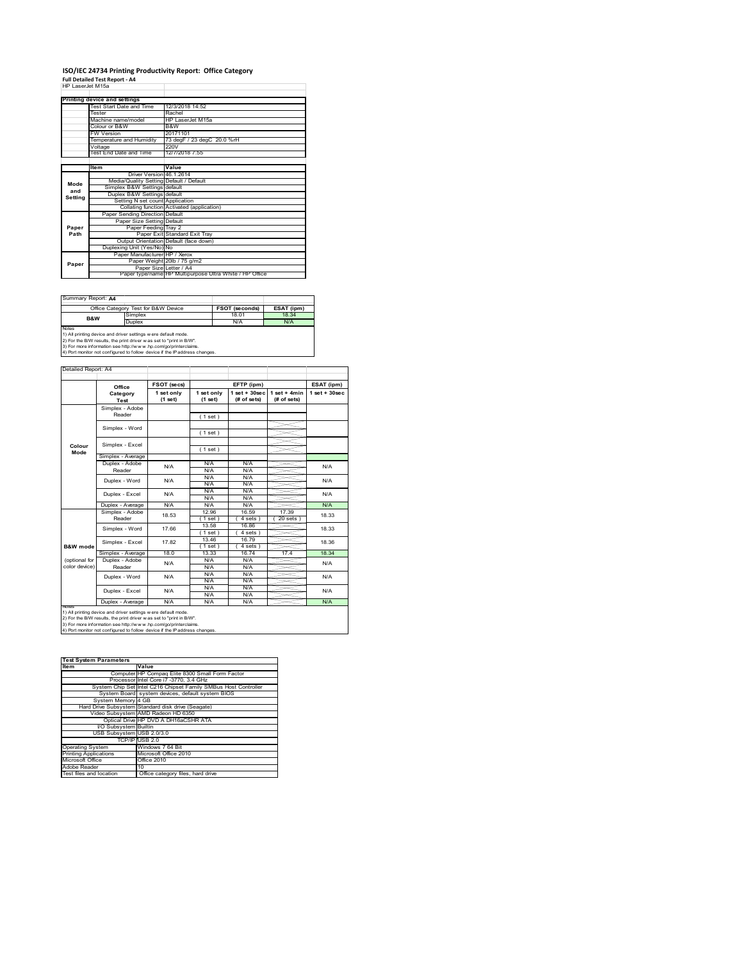### **ISO/IEC 24734 Printing Productivity Report: Office Category Full Detailed Test Report ‐ A4** HP LaserJet M15a

| HP LaserJet M15a |                                         |                                                                         |
|------------------|-----------------------------------------|-------------------------------------------------------------------------|
|                  | Printing device and settings            |                                                                         |
|                  | Test Start Date and Time                | 12/3/2018 14:52                                                         |
|                  | Tester                                  | Rachel                                                                  |
|                  | Machine name/model                      | HP LaserJet M15a                                                        |
|                  | Colour or B&W                           | B&W                                                                     |
|                  | <b>FW Version</b>                       | 20171101                                                                |
|                  | Temperature and Humidity                | 73 degF / 23 degC 20.0 %rH                                              |
|                  | Voltage                                 | 220V                                                                    |
|                  | Test End Date and Time                  | 12/7/2018 7:55                                                          |
|                  |                                         |                                                                         |
|                  | ltem                                    | Value                                                                   |
|                  | Driver Version 46 1 2614                |                                                                         |
| Mode             | Media/Quality Setting Default / Default |                                                                         |
| and              | Simplex B&W Settings default            |                                                                         |
| Setting          | Duplex B&W Settings default             |                                                                         |
|                  | Setting N set count Application         |                                                                         |
|                  |                                         | Collating function Activated (application)                              |
|                  | Paper Sending Direction Default         |                                                                         |
|                  | Paper Size Setting Default              |                                                                         |
| Paper            | Paper Feeding Tray 2                    |                                                                         |
| Path             |                                         | Paper Exit Standard Exit Trav<br>Output Orientation Default (face down) |
|                  | Duplexing Unit (Yes/No) No              |                                                                         |
|                  |                                         |                                                                         |
|                  | Paper Manufacturer HP / Xerox           | Paper Weight 20lb / 75 g/m2                                             |
| Paper            | Paper Size Letter / A4                  |                                                                         |
|                  |                                         | Paper type/name HP Multipurpose Ultra White / HP Office                 |
|                  |                                         |                                                                         |

Summary Report: **A4**

| PQQUIIIIII.                                                                                                                                                                                                                                                                                      |                                     |                       |            |  |  |  |  |
|--------------------------------------------------------------------------------------------------------------------------------------------------------------------------------------------------------------------------------------------------------------------------------------------------|-------------------------------------|-----------------------|------------|--|--|--|--|
|                                                                                                                                                                                                                                                                                                  | Office Category Test for B&W Device | <b>FSOT (seconds)</b> | ESAT (ipm) |  |  |  |  |
| B&W                                                                                                                                                                                                                                                                                              | Simplex                             | 18.01                 | 18.34      |  |  |  |  |
|                                                                                                                                                                                                                                                                                                  | Duplex                              | N/A                   | N/A        |  |  |  |  |
| <b>Notes</b>                                                                                                                                                                                                                                                                                     |                                     |                       |            |  |  |  |  |
| 1) All printing device and driver settings w ere default mode.<br>and the contract of the contract of the contract of the contract of the contract of the contract of the contract of the contract of the contract of the contract of the contract of the contract of the contract of the contra |                                     |                       |            |  |  |  |  |

1) All printing device and driver settings were default mode.<br>2) For the B/W results, the print driver was set to "print in B/W".<br>3) For more information see http://www.hp.com/go/printerclaims.<br>4) Port monitor not configur

|                                | Office                    | FSOT (secs)           |                       | EFTP (ipm)                       |                               | ESAT (ipm)         |
|--------------------------------|---------------------------|-----------------------|-----------------------|----------------------------------|-------------------------------|--------------------|
|                                | Category<br>Test          | 1 set only<br>(1 set) | 1 set only<br>(1 set) | $1$ set $+30$ sec<br>(# of sets) | $1$ set + 4min<br>(# of sets) | $1$ set + $30$ sec |
|                                | Simplex - Adobe<br>Reader |                       | (1 set)               |                                  |                               |                    |
|                                | Simplex - Word            |                       | (1 set)               |                                  |                               |                    |
| Colour<br>Mode                 | Simplex - Excel           |                       | (1 set)               |                                  |                               |                    |
|                                | Simplex - Average         |                       |                       |                                  |                               |                    |
|                                | Duplex - Adobe<br>Reader  | N/A                   | N/A<br>N/A            | N/A<br>N/A                       |                               | N/A                |
|                                | Duplex - Word             | N/A                   | N/A<br>N/A            | N/A<br>N/A                       |                               | N/A                |
|                                | Duplex - Excel            | N/A                   | N/A<br>N/A            | N/A<br>N/A                       |                               | N/A                |
|                                | Duplex - Average          | N/A                   | N/A                   | N/A                              |                               | N/A                |
|                                | Simplex - Adobe<br>Reader | 18.53                 | 12.96<br>1 set )      | 16.59<br>4 sets 1                | 17.39<br>$20$ sets $)$        | 18.33              |
|                                | Simplex - Word            | 17.66                 | 13.58<br>$1$ set)     | 16.86<br>4 sets)                 |                               | 18.33              |
| B&W mode                       | Simplex - Excel           | 1782                  | 13.46<br>$1$ set)     | 16.79<br>$4 sets$ )              |                               | 18.36              |
|                                | Simplex - Average         | 18.0                  | 13.33                 | 16.74                            | 17.4                          | 18.34              |
| (optional for<br>color device) | Duplex - Adobe<br>Reader  | N/A                   | N/A<br>N/A            | N/A<br>N/A                       |                               | N/A                |
|                                | Duplex - Word             | N/A                   | N/A<br>N/A            | N/A<br>N/A                       |                               | N/A                |
|                                | Duplex - Excel            | N/A                   | N/A<br>N/A            | N/A<br>N/A                       |                               | N/A                |
|                                | Duplex - Average          | N/A                   | N/A                   | N/A                              |                               | N/A                |

1) All printing device and driver settings were default mode.<br>2) For the B/W results, the print driver was set to "print in B/W".<br>3) For more information see http://www.hp.com/go/printerclaims.<br>4) Port monitor not configur

| <b>Test System Parameters</b> |                                                                 |  |  |  |
|-------------------------------|-----------------------------------------------------------------|--|--|--|
| <b>Item</b>                   | Value                                                           |  |  |  |
|                               | Computer HP Compag Elite 8300 Small Form Factor                 |  |  |  |
|                               | Processor Intel Core i7 -3770, 3.4 GHz                          |  |  |  |
|                               | System Chip Set Intel C216 Chipset Family SMBus Host Controller |  |  |  |
|                               | System Board system devices, default system BIOS                |  |  |  |
| System Memory 4 GB            |                                                                 |  |  |  |
|                               | Hard Drive Subsystem Standard disk drive (Seagate)              |  |  |  |
|                               | Video Subsystem AMD Radeon HD 6350                              |  |  |  |
|                               | Optical Drive HP DVD A DH16aCSHR ATA                            |  |  |  |
| I/O Subsystem Builtin         |                                                                 |  |  |  |
| USB Subsystem USB 2.0/3.0     |                                                                 |  |  |  |
|                               | TCP/IPIUSB 2.0                                                  |  |  |  |
| <b>Operating System</b>       | Windows 7 64 Bit                                                |  |  |  |
| <b>Printing Applications</b>  | Microsoft Office 2010                                           |  |  |  |
| Microsoft Office              | Office 2010                                                     |  |  |  |
| Adobe Reader                  | 10                                                              |  |  |  |
| Test files and location       | Office category files, hard drive                               |  |  |  |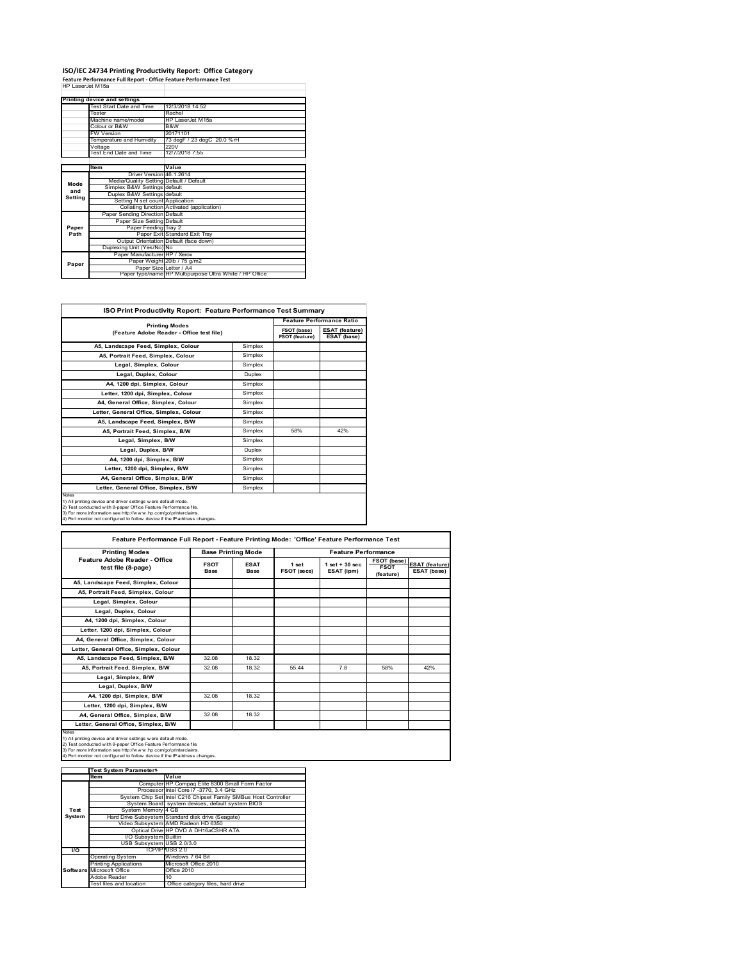## **ISO/IEC 24734 Printing Productivity Report: Office Category Feature Performance Full Report ‐ Office Feature Performance Test** HP LaserJet M15a

|         | Printing device and settings            |                                                         |
|---------|-----------------------------------------|---------------------------------------------------------|
|         | Test Start Date and Time                | 12/3/2018 14:52                                         |
|         | Tester                                  | Rachel                                                  |
|         | Machine name/model                      | HP LaserJet M15a                                        |
|         | Colour or B&W                           | B&W                                                     |
|         | FW Version                              | 20171101                                                |
|         | Temperature and Humidity                | 73 degF / 23 degC 20.0 %rH                              |
|         | Voltage                                 | 220V                                                    |
|         | Test End Date and Time                  | 12/7/2018 7:55                                          |
|         |                                         |                                                         |
|         | <b>Item</b>                             | Value                                                   |
|         | Driver Version 46.1.2614                |                                                         |
| Mode    | Media/Quality Setting Default / Default |                                                         |
| and     | Simplex B&W Settings default            |                                                         |
| Setting | Duplex B&W Settings default             |                                                         |
|         | Setting N set count Application         |                                                         |
|         |                                         | Collating function Activated (application)              |
|         | Paper Sending Direction Default         |                                                         |
|         | Paper Size Setting Default              |                                                         |
| Paper   | Paper Feeding Tray 2                    |                                                         |
| Path    |                                         | Paper Exit Standard Exit Tray                           |
|         |                                         | Output Orientation Default (face down)                  |
|         | Duplexing Unit (Yes/No) No              |                                                         |
|         | Paper Manufacturer HP / Xerox           |                                                         |
| Paper   |                                         | Paper Weight 20lb / 75 g/m2                             |
|         | Paper Size Letter / A4                  |                                                         |
|         |                                         | Paper type/name HP Multipurpose Ultra White / HP Office |

÷,

| <b>ISO Print Productivity Report: Feature Performance Test Summary</b>                                                                                                                                                                                                                      |               |                                      |                                      |  |  |
|---------------------------------------------------------------------------------------------------------------------------------------------------------------------------------------------------------------------------------------------------------------------------------------------|---------------|--------------------------------------|--------------------------------------|--|--|
| <b>Printing Modes</b>                                                                                                                                                                                                                                                                       |               | <b>Feature Performance Ratio</b>     |                                      |  |  |
| (Feature Adobe Reader - Office test file)                                                                                                                                                                                                                                                   |               | FSOT (base)<br><b>FSOT (feature)</b> | <b>ESAT (feature)</b><br>ESAT (base) |  |  |
| A5, Landscape Feed, Simplex, Colour                                                                                                                                                                                                                                                         | Simplex       |                                      |                                      |  |  |
| A5, Portrait Feed, Simplex, Colour                                                                                                                                                                                                                                                          | Simplex       |                                      |                                      |  |  |
| Legal, Simplex, Colour                                                                                                                                                                                                                                                                      | Simplex       |                                      |                                      |  |  |
| Legal, Duplex, Colour                                                                                                                                                                                                                                                                       | <b>Duplex</b> |                                      |                                      |  |  |
| A4, 1200 dpi, Simplex, Colour                                                                                                                                                                                                                                                               | Simplex       |                                      |                                      |  |  |
| Letter, 1200 dpi. Simplex, Colour                                                                                                                                                                                                                                                           | Simplex       |                                      |                                      |  |  |
| A4, General Office, Simplex, Colour                                                                                                                                                                                                                                                         | Simplex       |                                      |                                      |  |  |
| Letter, General Office, Simplex, Colour                                                                                                                                                                                                                                                     | Simplex       |                                      |                                      |  |  |
| A5, Landscape Feed, Simplex, B/W                                                                                                                                                                                                                                                            | Simplex       |                                      |                                      |  |  |
| A5, Portrait Feed, Simplex, B/W                                                                                                                                                                                                                                                             | Simplex       | 58%                                  | 42%                                  |  |  |
| Legal, Simplex, B/W                                                                                                                                                                                                                                                                         | Simplex       |                                      |                                      |  |  |
| Legal, Duplex, B/W                                                                                                                                                                                                                                                                          | <b>Duplex</b> |                                      |                                      |  |  |
| A4, 1200 dpi, Simplex, B/W                                                                                                                                                                                                                                                                  | Simplex       |                                      |                                      |  |  |
| Letter, 1200 dpi, Simplex, B/W                                                                                                                                                                                                                                                              | Simplex       |                                      |                                      |  |  |
| A4, General Office, Simplex, B/W                                                                                                                                                                                                                                                            | Simplex       |                                      |                                      |  |  |
| Letter, General Office, Simplex, B/W                                                                                                                                                                                                                                                        | Simplex       |                                      |                                      |  |  |
| Notes<br>1) All printing device and driver settings w ere default mode.<br>2) Test conducted with 8-paper Office Feature Performance file.<br>3) For more information see http://www.hp.com/go/printerclaims.<br>4) Port monitor not configured to follow device if the IP address changes. |               |                                      |                                      |  |  |

| <b>Printing Modes</b>                               | <b>Base Printing Mode</b>  |                            | <b>Feature Performance</b> |                                  |                                                |                                      |
|-----------------------------------------------------|----------------------------|----------------------------|----------------------------|----------------------------------|------------------------------------------------|--------------------------------------|
| Feature Adobe Reader - Office<br>test file (8-page) | <b>FSOT</b><br><b>Base</b> | <b>ESAT</b><br><b>Base</b> | 1 set<br>FSOT (secs)       | $1$ set $+30$ sec.<br>ESAT (ipm) | <b>FSOT (base)</b><br><b>FSOT</b><br>(feature) | <b>ESAT (feature)</b><br>ESAT (base) |
| A5, Landscape Feed, Simplex, Colour                 |                            |                            |                            |                                  |                                                |                                      |
| A5, Portrait Feed, Simplex, Colour                  |                            |                            |                            |                                  |                                                |                                      |
| Legal, Simplex, Colour                              |                            |                            |                            |                                  |                                                |                                      |
| Legal, Duplex, Colour                               |                            |                            |                            |                                  |                                                |                                      |
| A4, 1200 dpi, Simplex, Colour                       |                            |                            |                            |                                  |                                                |                                      |
| Letter, 1200 dpi. Simplex, Colour                   |                            |                            |                            |                                  |                                                |                                      |
| A4, General Office, Simplex, Colour                 |                            |                            |                            |                                  |                                                |                                      |
| Letter, General Office, Simplex, Colour             |                            |                            |                            |                                  |                                                |                                      |
| A5, Landscape Feed, Simplex, B/W                    | 32.08                      | 18.32                      |                            |                                  |                                                |                                      |
| A5, Portrait Feed, Simplex, B/W                     | 32.08                      | 18.32                      | 55 44                      | 7.8                              | 58%                                            | 42%                                  |
| Legal, Simplex, B/W                                 |                            |                            |                            |                                  |                                                |                                      |
| Legal, Duplex, B/W                                  |                            |                            |                            |                                  |                                                |                                      |
| A4. 1200 dpi. Simplex. B/W                          | 32.08                      | 18.32                      |                            |                                  |                                                |                                      |
| Letter, 1200 dpi, Simplex, B/W                      |                            |                            |                            |                                  |                                                |                                      |
| A4, General Office, Simplex, B/W                    | 32.08                      | 18.32                      |                            |                                  |                                                |                                      |
| Letter, General Office, Simplex, B/W                |                            |                            |                            |                                  |                                                |                                      |

|               | <b>Test System Parameters</b> |                                                                 |
|---------------|-------------------------------|-----------------------------------------------------------------|
|               | <b>Item</b>                   | Value                                                           |
|               |                               | Computer HP Compaq Elite 8300 Small Form Factor                 |
|               |                               | Processor Intel Core i7 -3770, 3.4 GHz                          |
|               |                               | System Chip Set Intel C216 Chipset Family SMBus Host Controller |
|               |                               | System Board system devices, default system BIOS                |
| Test          | System Memory 4 GB            |                                                                 |
| <b>System</b> |                               | Hard Drive Subsystem Standard disk drive (Seagate)              |
|               |                               | Video Subsystem AMD Radeon HD 6350                              |
|               |                               | Optical Drive HP DVD A DH16aCSHR ATA                            |
|               | I/O Subsystem Builtin         |                                                                 |
|               | USB Subsystem USB 2.0/3.0     |                                                                 |
| <b>VO</b>     |                               | TCP/IPPUSB 2.0                                                  |
|               | <b>Operating System</b>       | Windows 7 64 Bit                                                |
|               | <b>Printing Applications</b>  | Microsoft Office 2010                                           |
|               | Software Microsoft Office     | Office 2010                                                     |
|               | Adobe Reader                  | 10                                                              |
|               | Test files and location       | Office category files, hard drive                               |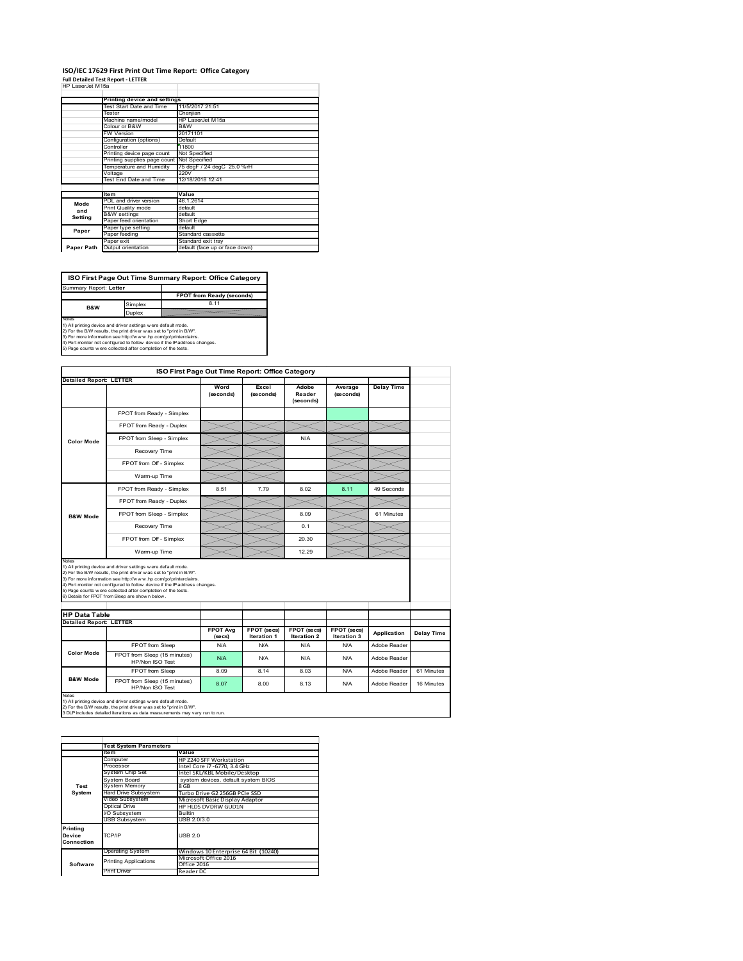#### **ISO/IEC 17629 First Print Out Time Report: Office Category Full Detailed Test Report ‐ LETTER** HP LaserJet M15a

| . <del>.</del>   |  |
|------------------|--|
| HP LaserJet M15a |  |

|                                            | 11/5/2017 21:51                                                                                                                              |  |  |  |  |
|--------------------------------------------|----------------------------------------------------------------------------------------------------------------------------------------------|--|--|--|--|
|                                            | Cheniian                                                                                                                                     |  |  |  |  |
|                                            | HP LaserJet M15a                                                                                                                             |  |  |  |  |
| Colour or B&W                              | B&W                                                                                                                                          |  |  |  |  |
| <b>FW Version</b>                          | 20171101                                                                                                                                     |  |  |  |  |
| Configuration (options)                    | Default                                                                                                                                      |  |  |  |  |
| Controller                                 | 11800                                                                                                                                        |  |  |  |  |
| Printing device page count                 | Not Specified                                                                                                                                |  |  |  |  |
| Printing supplies page count Not Specified |                                                                                                                                              |  |  |  |  |
| Temperature and Humidity                   | 75 degF / 24 degC 25.0 %rH                                                                                                                   |  |  |  |  |
| Voltage                                    | 220V                                                                                                                                         |  |  |  |  |
|                                            | 12/18/2018 12:41                                                                                                                             |  |  |  |  |
|                                            |                                                                                                                                              |  |  |  |  |
| <b>Item</b>                                | Value                                                                                                                                        |  |  |  |  |
| PDL and driver version                     | 46.1.2614                                                                                                                                    |  |  |  |  |
| Print Quality mode                         | default                                                                                                                                      |  |  |  |  |
| <b>B&amp;W</b> settings                    | default                                                                                                                                      |  |  |  |  |
|                                            | Short Edge                                                                                                                                   |  |  |  |  |
| Paper type setting                         | default                                                                                                                                      |  |  |  |  |
| Paper feeding                              | Standard cassette                                                                                                                            |  |  |  |  |
| Paper exit                                 | Standard exit tray                                                                                                                           |  |  |  |  |
| Output orientation                         | default (face up or face down)                                                                                                               |  |  |  |  |
|                                            | Printing device and settings<br>Test Start Date and Time<br>Tester<br>Machine name/model<br>Test End Date and Time<br>Paper feed orientation |  |  |  |  |

**ISO First Page Out Time Summary Report: Office Category** rt: **Letter** 

**FPOT from Ready (seconds)**<br>Simplex 8.11 **B&W**

**Duplex**<br>Notes<br>1) All printing device and driver settings were default mode.<br>2) For the BM results, the print driver was set to "print in BM".<br>4) For more information see http://www.hp.com/golprinterclaims.<br>4) Port monitor

| ISO First Page Out Time Report: Office Category |                                                                                                                                                                                                          |                            |                                   |                                   |                            |                   |            |
|-------------------------------------------------|----------------------------------------------------------------------------------------------------------------------------------------------------------------------------------------------------------|----------------------------|-----------------------------------|-----------------------------------|----------------------------|-------------------|------------|
| <b>Detailed Report: LETTER</b>                  |                                                                                                                                                                                                          | Word<br>(seconds)          | Excel<br>(seconds)                | Adobe<br>Reader<br>(seconds)      | Average<br>(seconds)       | <b>Delay Time</b> |            |
|                                                 | FPOT from Ready - Simplex                                                                                                                                                                                |                            |                                   |                                   |                            |                   |            |
|                                                 | FPOT from Ready - Duplex                                                                                                                                                                                 |                            |                                   |                                   |                            |                   |            |
| <b>Color Mode</b>                               | FPOT from Sleep - Simplex                                                                                                                                                                                |                            |                                   | N/A                               |                            |                   |            |
|                                                 | Recovery Time                                                                                                                                                                                            |                            |                                   |                                   |                            |                   |            |
|                                                 | FPOT from Off - Simplex                                                                                                                                                                                  |                            |                                   |                                   |                            |                   |            |
|                                                 | Warm-up Time                                                                                                                                                                                             |                            |                                   |                                   |                            |                   |            |
|                                                 | FPOT from Ready - Simplex                                                                                                                                                                                | 8.51                       | 7.79                              | 8.02                              | 8.11                       | 49 Seconds        |            |
|                                                 | FPOT from Ready - Duplex                                                                                                                                                                                 |                            |                                   |                                   |                            |                   |            |
| <b>B&amp;W Mode</b>                             | FPOT from Sleep - Simplex                                                                                                                                                                                |                            |                                   | 8.09                              |                            | 61 Minutes        |            |
|                                                 | Recovery Time                                                                                                                                                                                            |                            |                                   | 0.1                               |                            |                   |            |
|                                                 | FPOT from Off - Simplex                                                                                                                                                                                  |                            |                                   | 20.30                             |                            |                   |            |
|                                                 | Warm-up Time                                                                                                                                                                                             |                            |                                   | 12.29                             |                            |                   |            |
| Notes                                           | 1) All printing device and driver settings w ere default mode.<br>2) For the B/W results, the print driver was set to "print in B/W".<br>3) For more information see http://www.hp.com/go/printerclaims. |                            |                                   |                                   |                            |                   |            |
| <b>HP Data Table</b>                            | 4) Port monitor not configured to follow device if the IP address changes.<br>5) Page counts w ere collected after completion of the tests.<br>6) Details for FPOT from Sleep are show n below.          |                            |                                   |                                   |                            |                   |            |
|                                                 |                                                                                                                                                                                                          |                            |                                   |                                   |                            |                   |            |
|                                                 |                                                                                                                                                                                                          | <b>FPOT Avg</b><br>(se cs) | FPOT (secs)<br><b>Iteration 1</b> | FPOT (secs)<br><b>Iteration 2</b> | FPOT (secs)<br>Iteration 3 | Application       | Delay Time |
|                                                 | FPOT from Sleep                                                                                                                                                                                          | N/A                        | N/A                               | N/A                               | N/A                        | Adobe Reader      |            |
| <b>Color Mode</b>                               | FPOT from Sleep (15 minutes)<br>HP/Non ISO Test                                                                                                                                                          | N/A                        | N/A                               | N/A                               | N/A                        | Adobe Reader      |            |
| <b>Detailed Report: LETTER</b>                  | FPOT from Sleep                                                                                                                                                                                          | 8.09                       | 8.14                              | 8.03                              | N/A                        | Adobe Reader      | 61 Minutes |

1) All printing device and driver settings w ere default mode.<br>2) For the B/W results, the print driver w as set to "print in B/W".<br>3 DLP includes detailed iterations as data measurements may vary run to run.

**Item Value** Computer HP Z240 SFF Workstation Processor Intel Core i7 ‐6770, 3.4 GHz System Chip Set Intel SKL/KBL Mobile/Desktop System Board system devices, default system BIOS ystem Board<br>ystem Board<br>ard Drive Subsystem<br>deo Subsystem<br>ntic-Hard Drive Subsystem Turbo Drive G2 256GB PCIe SSD Video Subsystem Microsoft Basic Display Adaptor Optical Drive HP HLDS DVDRW GUD1N Subsystem Builtin USB Subsystem USB 2.0/3.0 Operating System Windows 10 Enterprise 64 Bit (10240) Microsoft Office 2016 Office 2016<br>Print Driver Reader DC **Test System Software Test System Para Printing Device Connection** TCP/IP USB 2.0 inting Applications